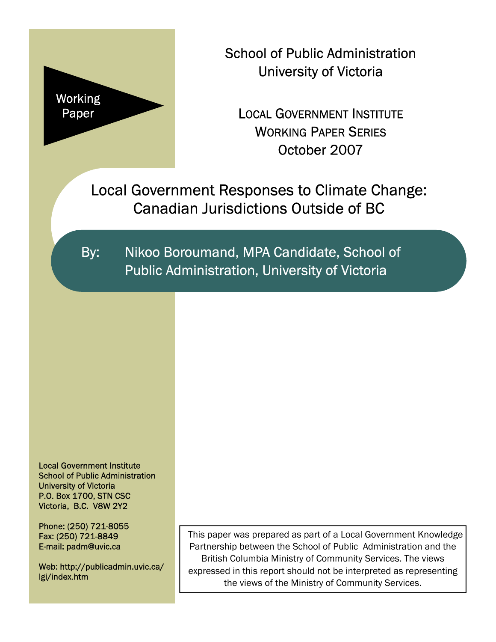

School of Public Administration University of Victoria

LOCAL GOVERNMENT INSTITUTE WORKING PAPER SERIES October 2007

Local Government Responses to Climate Change: Canadian Jurisdictions Outside of BC

By: Nikoo Boroumand, MPA Candidate, School of Public Administration, University of Victoria

Local Government Institute School of Public Administration University of Victoria P.O. Box 1700, STN CSC Victoria, B.C. V8W 2Y2

Phone: (250) 721-8055 Fax: (250) 721-8849 E-mail: padm@uvic.ca

Web: http://publicadmin.uvic.ca/ lgi/index.htm

This paper was prepared as part of a Local Government Knowledge Partnership between the School of Public Administration and the British Columbia Ministry of Community Services. The views expressed in this report should not be interpreted as representing the views of the Ministry of Community Services.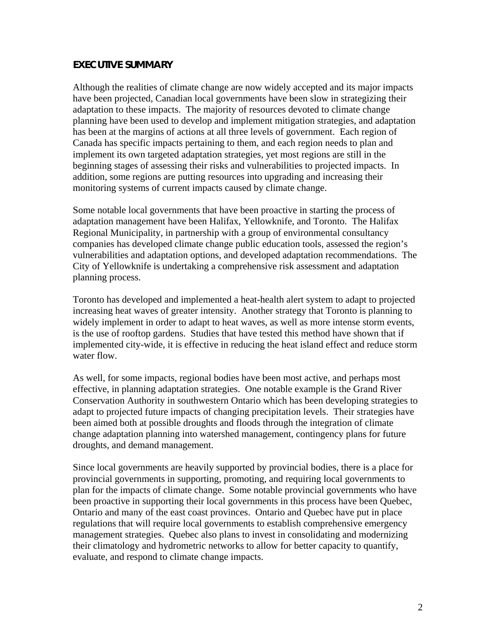### **EXECUTIVE SUMMARY**

Although the realities of climate change are now widely accepted and its major impacts have been projected, Canadian local governments have been slow in strategizing their adaptation to these impacts. The majority of resources devoted to climate change planning have been used to develop and implement mitigation strategies, and adaptation has been at the margins of actions at all three levels of government. Each region of Canada has specific impacts pertaining to them, and each region needs to plan and implement its own targeted adaptation strategies, yet most regions are still in the beginning stages of assessing their risks and vulnerabilities to projected impacts. In addition, some regions are putting resources into upgrading and increasing their monitoring systems of current impacts caused by climate change.

Some notable local governments that have been proactive in starting the process of adaptation management have been Halifax, Yellowknife, and Toronto. The Halifax Regional Municipality, in partnership with a group of environmental consultancy companies has developed climate change public education tools, assessed the region's vulnerabilities and adaptation options, and developed adaptation recommendations. The City of Yellowknife is undertaking a comprehensive risk assessment and adaptation planning process.

Toronto has developed and implemented a heat-health alert system to adapt to projected increasing heat waves of greater intensity. Another strategy that Toronto is planning to widely implement in order to adapt to heat waves, as well as more intense storm events, is the use of rooftop gardens. Studies that have tested this method have shown that if implemented city-wide, it is effective in reducing the heat island effect and reduce storm water flow.

As well, for some impacts, regional bodies have been most active, and perhaps most effective, in planning adaptation strategies. One notable example is the Grand River Conservation Authority in southwestern Ontario which has been developing strategies to adapt to projected future impacts of changing precipitation levels. Their strategies have been aimed both at possible droughts and floods through the integration of climate change adaptation planning into watershed management, contingency plans for future droughts, and demand management.

Since local governments are heavily supported by provincial bodies, there is a place for provincial governments in supporting, promoting, and requiring local governments to plan for the impacts of climate change. Some notable provincial governments who have been proactive in supporting their local governments in this process have been Quebec, Ontario and many of the east coast provinces. Ontario and Quebec have put in place regulations that will require local governments to establish comprehensive emergency management strategies. Quebec also plans to invest in consolidating and modernizing their climatology and hydrometric networks to allow for better capacity to quantify, evaluate, and respond to climate change impacts.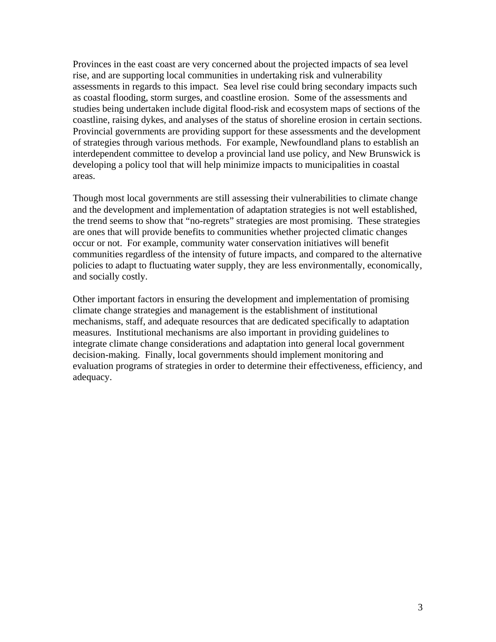Provinces in the east coast are very concerned about the projected impacts of sea level rise, and are supporting local communities in undertaking risk and vulnerability assessments in regards to this impact. Sea level rise could bring secondary impacts such as coastal flooding, storm surges, and coastline erosion. Some of the assessments and studies being undertaken include digital flood-risk and ecosystem maps of sections of the coastline, raising dykes, and analyses of the status of shoreline erosion in certain sections. Provincial governments are providing support for these assessments and the development of strategies through various methods. For example, Newfoundland plans to establish an interdependent committee to develop a provincial land use policy, and New Brunswick is developing a policy tool that will help minimize impacts to municipalities in coastal areas.

Though most local governments are still assessing their vulnerabilities to climate change and the development and implementation of adaptation strategies is not well established, the trend seems to show that "no-regrets" strategies are most promising. These strategies are ones that will provide benefits to communities whether projected climatic changes occur or not. For example, community water conservation initiatives will benefit communities regardless of the intensity of future impacts, and compared to the alternative policies to adapt to fluctuating water supply, they are less environmentally, economically, and socially costly.

Other important factors in ensuring the development and implementation of promising climate change strategies and management is the establishment of institutional mechanisms, staff, and adequate resources that are dedicated specifically to adaptation measures. Institutional mechanisms are also important in providing guidelines to integrate climate change considerations and adaptation into general local government decision-making. Finally, local governments should implement monitoring and evaluation programs of strategies in order to determine their effectiveness, efficiency, and adequacy.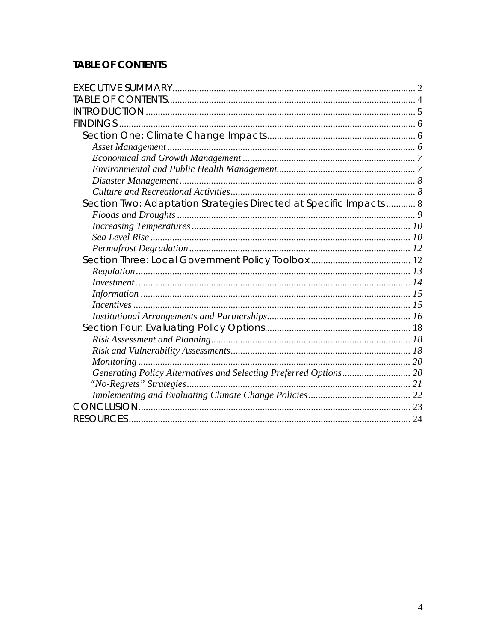# **TABLE OF CONTENTS**

| Section Two: Adaptation Strategies Directed at Specific Impacts  8 |  |
|--------------------------------------------------------------------|--|
|                                                                    |  |
|                                                                    |  |
|                                                                    |  |
|                                                                    |  |
|                                                                    |  |
|                                                                    |  |
|                                                                    |  |
|                                                                    |  |
|                                                                    |  |
|                                                                    |  |
|                                                                    |  |
|                                                                    |  |
|                                                                    |  |
|                                                                    |  |
|                                                                    |  |
|                                                                    |  |
|                                                                    |  |
|                                                                    |  |
|                                                                    |  |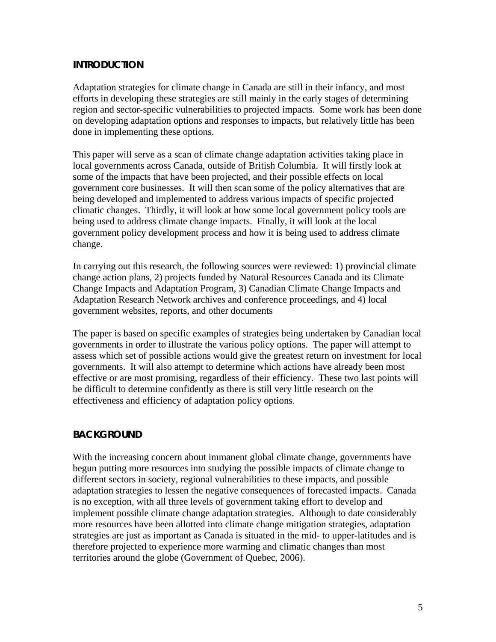## **INTRODUCTION**

Adaptation strategies for climate change in Canada are still in their infancy, and most efforts in developing these strategies are still mainly in the early stages of determining region and sector-specific vulnerabilities to projected impacts. Some work has been done on developing adaptation options and responses to impacts, but relatively little has been done in implementing these options.

This paper will serve as a scan of climate change adaptation activities taking place in local governments across Canada, outside of British Columbia. It will firstly look at some of the impacts that have been projected, and their possible effects on local government core businesses. It will then scan some of the policy alternatives that are being developed and implemented to address various impacts of specific projected climatic changes. Thirdly, it will look at how some local government policy tools are being used to address climate change impacts. Finally, it will look at the local government policy development process and how it is being used to address climate change.

In carrying out this research, the following sources were reviewed: 1) provincial climate change action plans, 2) projects funded by Natural Resources Canada and its Climate Change Impacts and Adaptation Program, 3) Canadian Climate Change Impacts and Adaptation Research Network archives and conference proceedings, and 4) local government websites, reports, and other documents

The paper is based on specific examples of strategies being undertaken by Canadian local governments in order to illustrate the various policy options. The paper will attempt to assess which set of possible actions would give the greatest return on investment for local governments. It will also attempt to determine which actions have already been most effective or are most promising, regardless of their efficiency. These two last points will be difficult to determine confidently as there is still very little research on the effectiveness and efficiency of adaptation policy options.

### **BACKGROUND**

With the increasing concern about immanent global climate change, governments have begun putting more resources into studying the possible impacts of climate change to different sectors in society, regional vulnerabilities to these impacts, and possible adaptation strategies to lessen the negative consequences of forecasted impacts. Canada is no exception, with all three levels of government taking effort to develop and implement possible climate change adaptation strategies. Although to date considerably more resources have been allotted into climate change mitigation strategies, adaptation strategies are just as important as Canada is situated in the mid- to upper-latitudes and is therefore projected to experience more warming and climatic changes than most territories around the globe (Government of Quebec, 2006).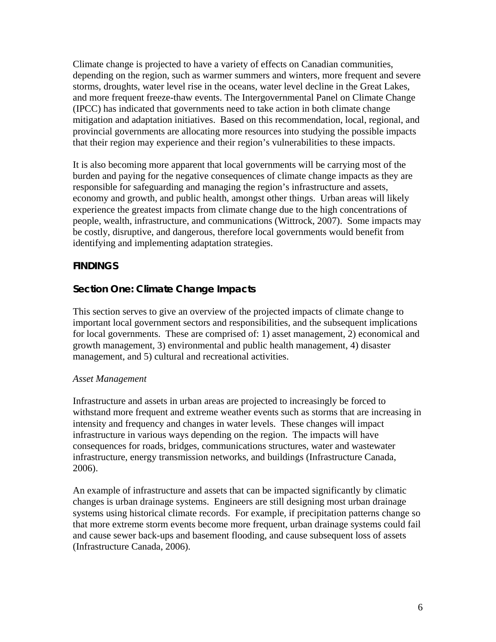Climate change is projected to have a variety of effects on Canadian communities, depending on the region, such as warmer summers and winters, more frequent and severe storms, droughts, water level rise in the oceans, water level decline in the Great Lakes, and more frequent freeze-thaw events. The Intergovernmental Panel on Climate Change (IPCC) has indicated that governments need to take action in both climate change mitigation and adaptation initiatives. Based on this recommendation, local, regional, and provincial governments are allocating more resources into studying the possible impacts that their region may experience and their region's vulnerabilities to these impacts.

It is also becoming more apparent that local governments will be carrying most of the burden and paying for the negative consequences of climate change impacts as they are responsible for safeguarding and managing the region's infrastructure and assets, economy and growth, and public health, amongst other things. Urban areas will likely experience the greatest impacts from climate change due to the high concentrations of people, wealth, infrastructure, and communications (Wittrock, 2007). Some impacts may be costly, disruptive, and dangerous, therefore local governments would benefit from identifying and implementing adaptation strategies.

# **FINDINGS**

# **Section One: Climate Change Impacts**

This section serves to give an overview of the projected impacts of climate change to important local government sectors and responsibilities, and the subsequent implications for local governments. These are comprised of: 1) asset management, 2) economical and growth management, 3) environmental and public health management, 4) disaster management, and 5) cultural and recreational activities.

#### *Asset Management*

Infrastructure and assets in urban areas are projected to increasingly be forced to withstand more frequent and extreme weather events such as storms that are increasing in intensity and frequency and changes in water levels. These changes will impact infrastructure in various ways depending on the region. The impacts will have consequences for roads, bridges, communications structures, water and wastewater infrastructure, energy transmission networks, and buildings (Infrastructure Canada, 2006).

An example of infrastructure and assets that can be impacted significantly by climatic changes is urban drainage systems. Engineers are still designing most urban drainage systems using historical climate records. For example, if precipitation patterns change so that more extreme storm events become more frequent, urban drainage systems could fail and cause sewer back-ups and basement flooding, and cause subsequent loss of assets (Infrastructure Canada, 2006).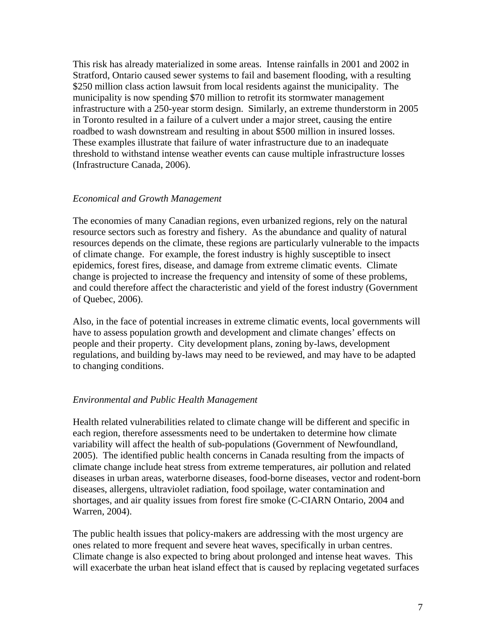This risk has already materialized in some areas. Intense rainfalls in 2001 and 2002 in Stratford, Ontario caused sewer systems to fail and basement flooding, with a resulting \$250 million class action lawsuit from local residents against the municipality. The municipality is now spending \$70 million to retrofit its stormwater management infrastructure with a 250-year storm design. Similarly, an extreme thunderstorm in 2005 in Toronto resulted in a failure of a culvert under a major street, causing the entire roadbed to wash downstream and resulting in about \$500 million in insured losses. These examples illustrate that failure of water infrastructure due to an inadequate threshold to withstand intense weather events can cause multiple infrastructure losses (Infrastructure Canada, 2006).

#### *Economical and Growth Management*

The economies of many Canadian regions, even urbanized regions, rely on the natural resource sectors such as forestry and fishery. As the abundance and quality of natural resources depends on the climate, these regions are particularly vulnerable to the impacts of climate change. For example, the forest industry is highly susceptible to insect epidemics, forest fires, disease, and damage from extreme climatic events. Climate change is projected to increase the frequency and intensity of some of these problems, and could therefore affect the characteristic and yield of the forest industry (Government of Quebec, 2006).

Also, in the face of potential increases in extreme climatic events, local governments will have to assess population growth and development and climate changes' effects on people and their property. City development plans, zoning by-laws, development regulations, and building by-laws may need to be reviewed, and may have to be adapted to changing conditions.

#### *Environmental and Public Health Management*

Health related vulnerabilities related to climate change will be different and specific in each region, therefore assessments need to be undertaken to determine how climate variability will affect the health of sub-populations (Government of Newfoundland, 2005). The identified public health concerns in Canada resulting from the impacts of climate change include heat stress from extreme temperatures, air pollution and related diseases in urban areas, waterborne diseases, food-borne diseases, vector and rodent-born diseases, allergens, ultraviolet radiation, food spoilage, water contamination and shortages, and air quality issues from forest fire smoke (C-CIARN Ontario, 2004 and Warren, 2004).

The public health issues that policy-makers are addressing with the most urgency are ones related to more frequent and severe heat waves, specifically in urban centres. Climate change is also expected to bring about prolonged and intense heat waves. This will exacerbate the urban heat island effect that is caused by replacing vegetated surfaces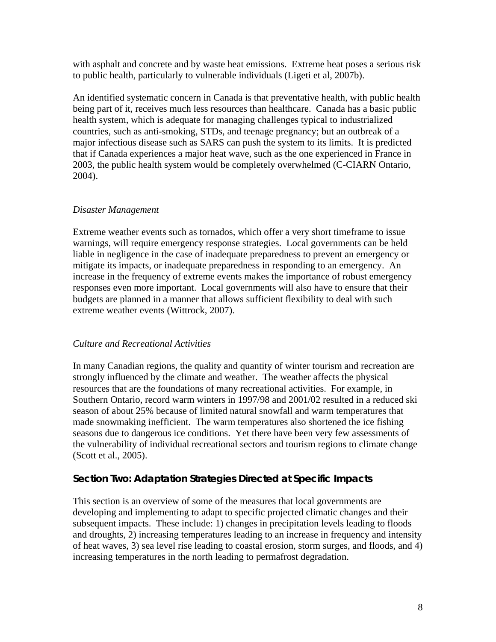with asphalt and concrete and by waste heat emissions. Extreme heat poses a serious risk to public health, particularly to vulnerable individuals (Ligeti et al, 2007b).

An identified systematic concern in Canada is that preventative health, with public health being part of it, receives much less resources than healthcare. Canada has a basic public health system, which is adequate for managing challenges typical to industrialized countries, such as anti-smoking, STDs, and teenage pregnancy; but an outbreak of a major infectious disease such as SARS can push the system to its limits. It is predicted that if Canada experiences a major heat wave, such as the one experienced in France in 2003, the public health system would be completely overwhelmed (C-CIARN Ontario, 2004).

### *Disaster Management*

Extreme weather events such as tornados, which offer a very short timeframe to issue warnings, will require emergency response strategies. Local governments can be held liable in negligence in the case of inadequate preparedness to prevent an emergency or mitigate its impacts, or inadequate preparedness in responding to an emergency. An increase in the frequency of extreme events makes the importance of robust emergency responses even more important. Local governments will also have to ensure that their budgets are planned in a manner that allows sufficient flexibility to deal with such extreme weather events (Wittrock, 2007).

### *Culture and Recreational Activities*

In many Canadian regions, the quality and quantity of winter tourism and recreation are strongly influenced by the climate and weather. The weather affects the physical resources that are the foundations of many recreational activities. For example, in Southern Ontario, record warm winters in 1997/98 and 2001/02 resulted in a reduced ski season of about 25% because of limited natural snowfall and warm temperatures that made snowmaking inefficient. The warm temperatures also shortened the ice fishing seasons due to dangerous ice conditions. Yet there have been very few assessments of the vulnerability of individual recreational sectors and tourism regions to climate change (Scott et al., 2005).

### **Section Two: Adaptation Strategies Directed at Specific Impacts**

This section is an overview of some of the measures that local governments are developing and implementing to adapt to specific projected climatic changes and their subsequent impacts. These include: 1) changes in precipitation levels leading to floods and droughts, 2) increasing temperatures leading to an increase in frequency and intensity of heat waves, 3) sea level rise leading to coastal erosion, storm surges, and floods, and 4) increasing temperatures in the north leading to permafrost degradation.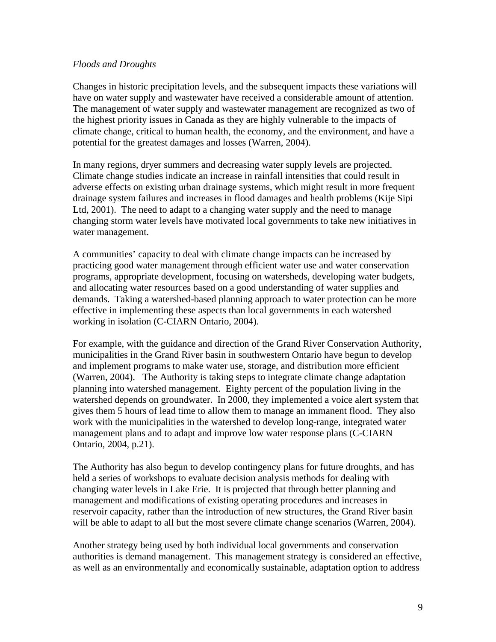#### *Floods and Droughts*

Changes in historic precipitation levels, and the subsequent impacts these variations will have on water supply and wastewater have received a considerable amount of attention. The management of water supply and wastewater management are recognized as two of the highest priority issues in Canada as they are highly vulnerable to the impacts of climate change, critical to human health, the economy, and the environment, and have a potential for the greatest damages and losses (Warren, 2004).

In many regions, dryer summers and decreasing water supply levels are projected. Climate change studies indicate an increase in rainfall intensities that could result in adverse effects on existing urban drainage systems, which might result in more frequent drainage system failures and increases in flood damages and health problems (Kije Sipi Ltd, 2001). The need to adapt to a changing water supply and the need to manage changing storm water levels have motivated local governments to take new initiatives in water management.

A communities' capacity to deal with climate change impacts can be increased by practicing good water management through efficient water use and water conservation programs, appropriate development, focusing on watersheds, developing water budgets, and allocating water resources based on a good understanding of water supplies and demands. Taking a watershed-based planning approach to water protection can be more effective in implementing these aspects than local governments in each watershed working in isolation (C-CIARN Ontario, 2004).

For example, with the guidance and direction of the Grand River Conservation Authority, municipalities in the Grand River basin in southwestern Ontario have begun to develop and implement programs to make water use, storage, and distribution more efficient (Warren, 2004). The Authority is taking steps to integrate climate change adaptation planning into watershed management. Eighty percent of the population living in the watershed depends on groundwater. In 2000, they implemented a voice alert system that gives them 5 hours of lead time to allow them to manage an immanent flood. They also work with the municipalities in the watershed to develop long-range, integrated water management plans and to adapt and improve low water response plans (C-CIARN Ontario, 2004, p.21).

The Authority has also begun to develop contingency plans for future droughts, and has held a series of workshops to evaluate decision analysis methods for dealing with changing water levels in Lake Erie. It is projected that through better planning and management and modifications of existing operating procedures and increases in reservoir capacity, rather than the introduction of new structures, the Grand River basin will be able to adapt to all but the most severe climate change scenarios (Warren, 2004).

Another strategy being used by both individual local governments and conservation authorities is demand management. This management strategy is considered an effective, as well as an environmentally and economically sustainable, adaptation option to address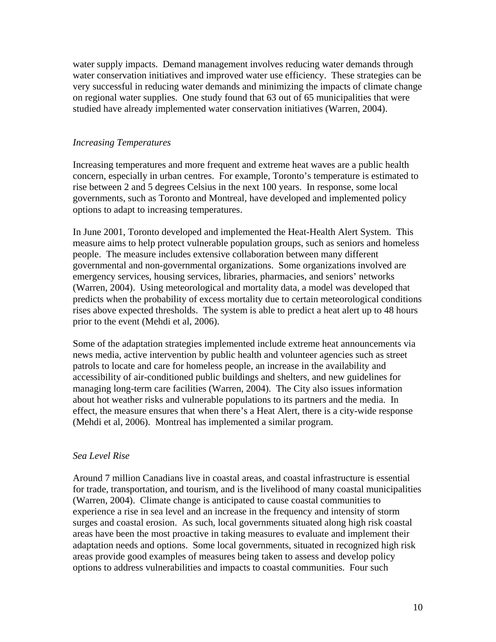water supply impacts. Demand management involves reducing water demands through water conservation initiatives and improved water use efficiency. These strategies can be very successful in reducing water demands and minimizing the impacts of climate change on regional water supplies. One study found that 63 out of 65 municipalities that were studied have already implemented water conservation initiatives (Warren, 2004).

### *Increasing Temperatures*

Increasing temperatures and more frequent and extreme heat waves are a public health concern, especially in urban centres. For example, Toronto's temperature is estimated to rise between 2 and 5 degrees Celsius in the next 100 years. In response, some local governments, such as Toronto and Montreal, have developed and implemented policy options to adapt to increasing temperatures.

In June 2001, Toronto developed and implemented the Heat-Health Alert System. This measure aims to help protect vulnerable population groups, such as seniors and homeless people. The measure includes extensive collaboration between many different governmental and non-governmental organizations. Some organizations involved are emergency services, housing services, libraries, pharmacies, and seniors' networks (Warren, 2004). Using meteorological and mortality data, a model was developed that predicts when the probability of excess mortality due to certain meteorological conditions rises above expected thresholds. The system is able to predict a heat alert up to 48 hours prior to the event (Mehdi et al, 2006).

Some of the adaptation strategies implemented include extreme heat announcements via news media, active intervention by public health and volunteer agencies such as street patrols to locate and care for homeless people, an increase in the availability and accessibility of air-conditioned public buildings and shelters, and new guidelines for managing long-term care facilities (Warren, 2004). The City also issues information about hot weather risks and vulnerable populations to its partners and the media. In effect, the measure ensures that when there's a Heat Alert, there is a city-wide response (Mehdi et al, 2006). Montreal has implemented a similar program.

#### *Sea Level Rise*

Around 7 million Canadians live in coastal areas, and coastal infrastructure is essential for trade, transportation, and tourism, and is the livelihood of many coastal municipalities (Warren, 2004). Climate change is anticipated to cause coastal communities to experience a rise in sea level and an increase in the frequency and intensity of storm surges and coastal erosion. As such, local governments situated along high risk coastal areas have been the most proactive in taking measures to evaluate and implement their adaptation needs and options. Some local governments, situated in recognized high risk areas provide good examples of measures being taken to assess and develop policy options to address vulnerabilities and impacts to coastal communities. Four such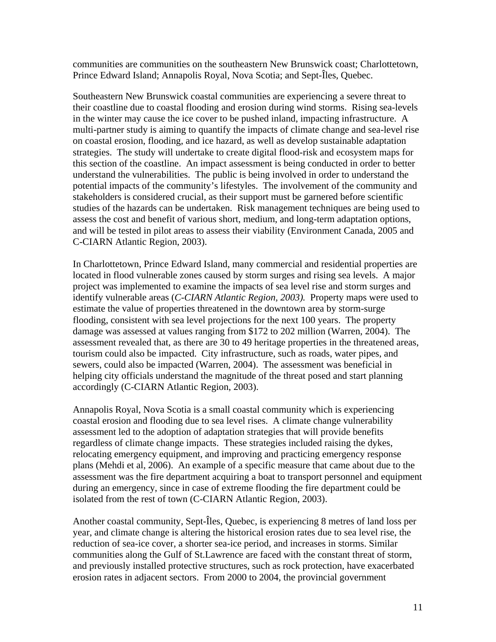communities are communities on the southeastern New Brunswick coast; Charlottetown, Prince Edward Island; Annapolis Royal, Nova Scotia; and Sept-Îles, Quebec.

Southeastern New Brunswick coastal communities are experiencing a severe threat to their coastline due to coastal flooding and erosion during wind storms. Rising sea-levels in the winter may cause the ice cover to be pushed inland, impacting infrastructure. A multi-partner study is aiming to quantify the impacts of climate change and sea-level rise on coastal erosion, flooding, and ice hazard, as well as develop sustainable adaptation strategies. The study will undertake to create digital flood-risk and ecosystem maps for this section of the coastline. An impact assessment is being conducted in order to better understand the vulnerabilities. The public is being involved in order to understand the potential impacts of the community's lifestyles. The involvement of the community and stakeholders is considered crucial, as their support must be garnered before scientific studies of the hazards can be undertaken. Risk management techniques are being used to assess the cost and benefit of various short, medium, and long-term adaptation options, and will be tested in pilot areas to assess their viability (Environment Canada, 2005 and C-CIARN Atlantic Region, 2003).

In Charlottetown, Prince Edward Island, many commercial and residential properties are located in flood vulnerable zones caused by storm surges and rising sea levels. A major project was implemented to examine the impacts of sea level rise and storm surges and identify vulnerable areas (*C-CIARN Atlantic Region, 2003).* Property maps were used to estimate the value of properties threatened in the downtown area by storm-surge flooding, consistent with sea level projections for the next 100 years. The property damage was assessed at values ranging from \$172 to 202 million (Warren, 2004). The assessment revealed that, as there are 30 to 49 heritage properties in the threatened areas, tourism could also be impacted. City infrastructure, such as roads, water pipes, and sewers, could also be impacted (Warren, 2004). The assessment was beneficial in helping city officials understand the magnitude of the threat posed and start planning accordingly (C-CIARN Atlantic Region, 2003).

Annapolis Royal, Nova Scotia is a small coastal community which is experiencing coastal erosion and flooding due to sea level rises. A climate change vulnerability assessment led to the adoption of adaptation strategies that will provide benefits regardless of climate change impacts. These strategies included raising the dykes, relocating emergency equipment, and improving and practicing emergency response plans (Mehdi et al, 2006). An example of a specific measure that came about due to the assessment was the fire department acquiring a boat to transport personnel and equipment during an emergency, since in case of extreme flooding the fire department could be isolated from the rest of town (C-CIARN Atlantic Region, 2003).

Another coastal community, Sept-Îles, Quebec, is experiencing 8 metres of land loss per year, and climate change is altering the historical erosion rates due to sea level rise, the reduction of sea-ice cover, a shorter sea-ice period, and increases in storms. Similar communities along the Gulf of St.Lawrence are faced with the constant threat of storm, and previously installed protective structures, such as rock protection, have exacerbated erosion rates in adjacent sectors. From 2000 to 2004, the provincial government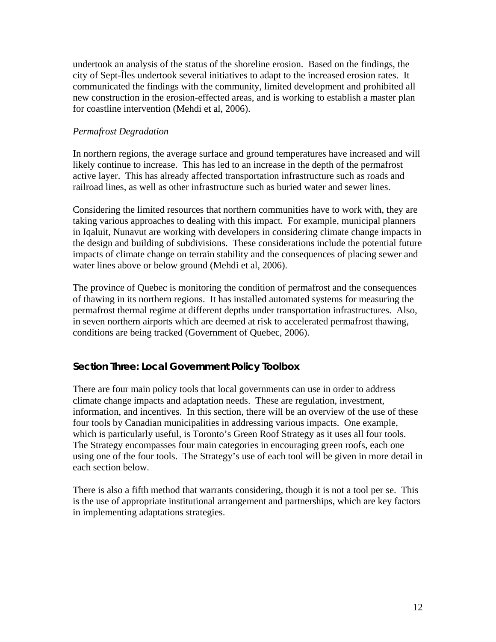undertook an analysis of the status of the shoreline erosion. Based on the findings, the city of Sept-Îles undertook several initiatives to adapt to the increased erosion rates. It communicated the findings with the community, limited development and prohibited all new construction in the erosion-effected areas, and is working to establish a master plan for coastline intervention (Mehdi et al, 2006).

### *Permafrost Degradation*

In northern regions, the average surface and ground temperatures have increased and will likely continue to increase. This has led to an increase in the depth of the permafrost active layer. This has already affected transportation infrastructure such as roads and railroad lines, as well as other infrastructure such as buried water and sewer lines.

Considering the limited resources that northern communities have to work with, they are taking various approaches to dealing with this impact. For example, municipal planners in Iqaluit, Nunavut are working with developers in considering climate change impacts in the design and building of subdivisions. These considerations include the potential future impacts of climate change on terrain stability and the consequences of placing sewer and water lines above or below ground (Mehdi et al, 2006).

The province of Quebec is monitoring the condition of permafrost and the consequences of thawing in its northern regions. It has installed automated systems for measuring the permafrost thermal regime at different depths under transportation infrastructures. Also, in seven northern airports which are deemed at risk to accelerated permafrost thawing, conditions are being tracked (Government of Quebec, 2006).

### **Section Three: Local Government Policy Toolbox**

There are four main policy tools that local governments can use in order to address climate change impacts and adaptation needs. These are regulation, investment, information, and incentives. In this section, there will be an overview of the use of these four tools by Canadian municipalities in addressing various impacts. One example, which is particularly useful, is Toronto's Green Roof Strategy as it uses all four tools. The Strategy encompasses four main categories in encouraging green roofs, each one using one of the four tools. The Strategy's use of each tool will be given in more detail in each section below.

There is also a fifth method that warrants considering, though it is not a tool per se. This is the use of appropriate institutional arrangement and partnerships, which are key factors in implementing adaptations strategies.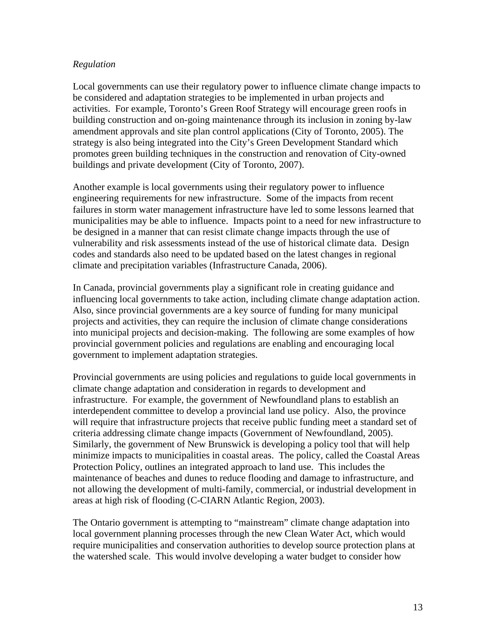### *Regulation*

Local governments can use their regulatory power to influence climate change impacts to be considered and adaptation strategies to be implemented in urban projects and activities. For example, Toronto's Green Roof Strategy will encourage green roofs in building construction and on-going maintenance through its inclusion in zoning by-law amendment approvals and site plan control applications (City of Toronto, 2005). The strategy is also being integrated into the City's Green Development Standard which promotes green building techniques in the construction and renovation of City-owned buildings and private development (City of Toronto, 2007).

Another example is local governments using their regulatory power to influence engineering requirements for new infrastructure. Some of the impacts from recent failures in storm water management infrastructure have led to some lessons learned that municipalities may be able to influence. Impacts point to a need for new infrastructure to be designed in a manner that can resist climate change impacts through the use of vulnerability and risk assessments instead of the use of historical climate data. Design codes and standards also need to be updated based on the latest changes in regional climate and precipitation variables (Infrastructure Canada, 2006).

In Canada, provincial governments play a significant role in creating guidance and influencing local governments to take action, including climate change adaptation action. Also, since provincial governments are a key source of funding for many municipal projects and activities, they can require the inclusion of climate change considerations into municipal projects and decision-making. The following are some examples of how provincial government policies and regulations are enabling and encouraging local government to implement adaptation strategies.

Provincial governments are using policies and regulations to guide local governments in climate change adaptation and consideration in regards to development and infrastructure. For example, the government of Newfoundland plans to establish an interdependent committee to develop a provincial land use policy. Also, the province will require that infrastructure projects that receive public funding meet a standard set of criteria addressing climate change impacts (Government of Newfoundland, 2005). Similarly, the government of New Brunswick is developing a policy tool that will help minimize impacts to municipalities in coastal areas. The policy, called the Coastal Areas Protection Policy, outlines an integrated approach to land use. This includes the maintenance of beaches and dunes to reduce flooding and damage to infrastructure, and not allowing the development of multi-family, commercial, or industrial development in areas at high risk of flooding (C-CIARN Atlantic Region, 2003).

The Ontario government is attempting to "mainstream" climate change adaptation into local government planning processes through the new Clean Water Act, which would require municipalities and conservation authorities to develop source protection plans at the watershed scale. This would involve developing a water budget to consider how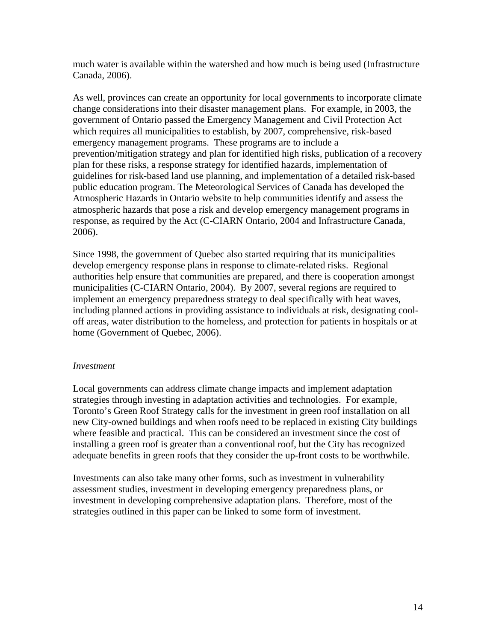much water is available within the watershed and how much is being used (Infrastructure Canada, 2006).

As well, provinces can create an opportunity for local governments to incorporate climate change considerations into their disaster management plans. For example, in 2003, the government of Ontario passed the Emergency Management and Civil Protection Act which requires all municipalities to establish, by 2007, comprehensive, risk-based emergency management programs. These programs are to include a prevention/mitigation strategy and plan for identified high risks, publication of a recovery plan for these risks, a response strategy for identified hazards, implementation of guidelines for risk-based land use planning, and implementation of a detailed risk-based public education program. The Meteorological Services of Canada has developed the Atmospheric Hazards in Ontario website to help communities identify and assess the atmospheric hazards that pose a risk and develop emergency management programs in response, as required by the Act (C-CIARN Ontario, 2004 and Infrastructure Canada, 2006).

Since 1998, the government of Quebec also started requiring that its municipalities develop emergency response plans in response to climate-related risks. Regional authorities help ensure that communities are prepared, and there is cooperation amongst municipalities (C-CIARN Ontario, 2004). By 2007, several regions are required to implement an emergency preparedness strategy to deal specifically with heat waves, including planned actions in providing assistance to individuals at risk, designating cooloff areas, water distribution to the homeless, and protection for patients in hospitals or at home (Government of Quebec, 2006).

#### *Investment*

Local governments can address climate change impacts and implement adaptation strategies through investing in adaptation activities and technologies. For example, Toronto's Green Roof Strategy calls for the investment in green roof installation on all new City-owned buildings and when roofs need to be replaced in existing City buildings where feasible and practical. This can be considered an investment since the cost of installing a green roof is greater than a conventional roof, but the City has recognized adequate benefits in green roofs that they consider the up-front costs to be worthwhile.

Investments can also take many other forms, such as investment in vulnerability assessment studies, investment in developing emergency preparedness plans, or investment in developing comprehensive adaptation plans. Therefore, most of the strategies outlined in this paper can be linked to some form of investment.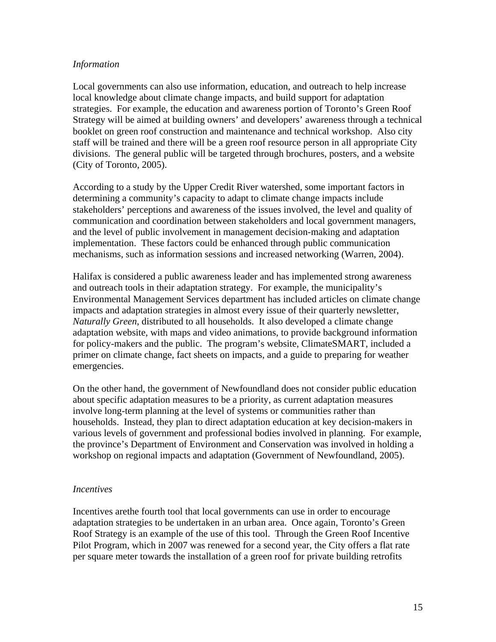#### *Information*

Local governments can also use information, education, and outreach to help increase local knowledge about climate change impacts, and build support for adaptation strategies. For example, the education and awareness portion of Toronto's Green Roof Strategy will be aimed at building owners' and developers' awareness through a technical booklet on green roof construction and maintenance and technical workshop. Also city staff will be trained and there will be a green roof resource person in all appropriate City divisions. The general public will be targeted through brochures, posters, and a website (City of Toronto, 2005).

According to a study by the Upper Credit River watershed, some important factors in determining a community's capacity to adapt to climate change impacts include stakeholders' perceptions and awareness of the issues involved, the level and quality of communication and coordination between stakeholders and local government managers, and the level of public involvement in management decision-making and adaptation implementation. These factors could be enhanced through public communication mechanisms, such as information sessions and increased networking (Warren, 2004).

Halifax is considered a public awareness leader and has implemented strong awareness and outreach tools in their adaptation strategy. For example, the municipality's Environmental Management Services department has included articles on climate change impacts and adaptation strategies in almost every issue of their quarterly newsletter, *Naturally Green*, distributed to all households. It also developed a climate change adaptation website, with maps and video animations, to provide background information for policy-makers and the public. The program's website, ClimateSMART, included a primer on climate change, fact sheets on impacts, and a guide to preparing for weather emergencies.

On the other hand, the government of Newfoundland does not consider public education about specific adaptation measures to be a priority, as current adaptation measures involve long-term planning at the level of systems or communities rather than households. Instead, they plan to direct adaptation education at key decision-makers in various levels of government and professional bodies involved in planning. For example, the province's Department of Environment and Conservation was involved in holding a workshop on regional impacts and adaptation (Government of Newfoundland, 2005).

#### *Incentives*

Incentives arethe fourth tool that local governments can use in order to encourage adaptation strategies to be undertaken in an urban area. Once again, Toronto's Green Roof Strategy is an example of the use of this tool. Through the Green Roof Incentive Pilot Program, which in 2007 was renewed for a second year, the City offers a flat rate per square meter towards the installation of a green roof for private building retrofits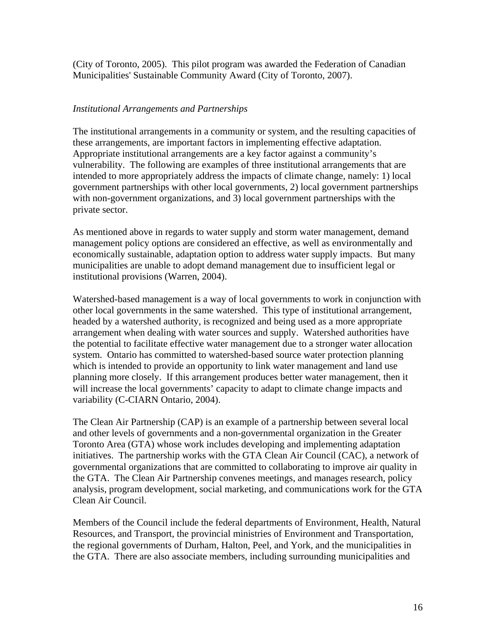(City of Toronto, 2005). This pilot program was awarded the Federation of Canadian Municipalities' Sustainable Community Award (City of Toronto, 2007).

### *Institutional Arrangements and Partnerships*

The institutional arrangements in a community or system, and the resulting capacities of these arrangements, are important factors in implementing effective adaptation. Appropriate institutional arrangements are a key factor against a community's vulnerability. The following are examples of three institutional arrangements that are intended to more appropriately address the impacts of climate change, namely: 1) local government partnerships with other local governments, 2) local government partnerships with non-government organizations, and 3) local government partnerships with the private sector.

As mentioned above in regards to water supply and storm water management, demand management policy options are considered an effective, as well as environmentally and economically sustainable, adaptation option to address water supply impacts. But many municipalities are unable to adopt demand management due to insufficient legal or institutional provisions (Warren, 2004).

Watershed-based management is a way of local governments to work in conjunction with other local governments in the same watershed. This type of institutional arrangement, headed by a watershed authority, is recognized and being used as a more appropriate arrangement when dealing with water sources and supply. Watershed authorities have the potential to facilitate effective water management due to a stronger water allocation system. Ontario has committed to watershed-based source water protection planning which is intended to provide an opportunity to link water management and land use planning more closely. If this arrangement produces better water management, then it will increase the local governments' capacity to adapt to climate change impacts and variability (C-CIARN Ontario, 2004).

The Clean Air Partnership (CAP) is an example of a partnership between several local and other levels of governments and a non-governmental organization in the Greater Toronto Area (GTA) whose work includes developing and implementing adaptation initiatives. The partnership works with the GTA Clean Air Council (CAC), a network of governmental organizations that are committed to collaborating to improve air quality in the GTA. The Clean Air Partnership convenes meetings, and manages research, policy analysis, program development, social marketing, and communications work for the GTA Clean Air Council.

Members of the Council include the federal departments of Environment, Health, Natural Resources, and Transport, the provincial ministries of Environment and Transportation, the regional governments of Durham, Halton, Peel, and York, and the municipalities in the GTA. There are also associate members, including surrounding municipalities and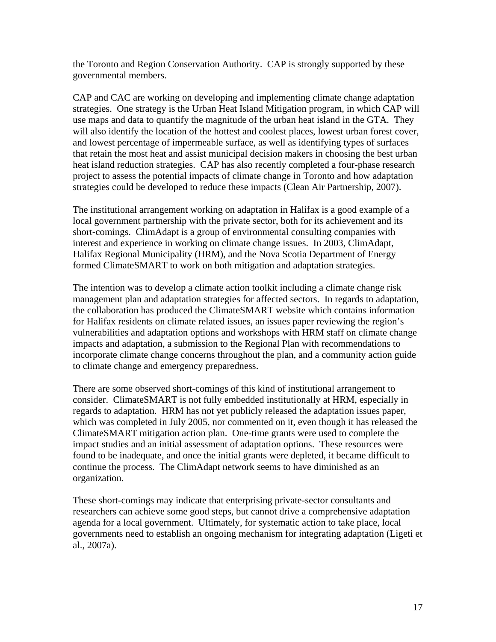the Toronto and Region Conservation Authority. CAP is strongly supported by these governmental members.

CAP and CAC are working on developing and implementing climate change adaptation strategies. One strategy is the Urban Heat Island Mitigation program, in which CAP will use maps and data to quantify the magnitude of the urban heat island in the GTA. They will also identify the location of the hottest and coolest places, lowest urban forest cover, and lowest percentage of impermeable surface, as well as identifying types of surfaces that retain the most heat and assist municipal decision makers in choosing the best urban heat island reduction strategies. CAP has also recently completed a four-phase research project to assess the potential impacts of climate change in Toronto and how adaptation strategies could be developed to reduce these impacts (Clean Air Partnership, 2007).

The institutional arrangement working on adaptation in Halifax is a good example of a local government partnership with the private sector, both for its achievement and its short-comings. ClimAdapt is a group of environmental consulting companies with interest and experience in working on climate change issues. In 2003, ClimAdapt, Halifax Regional Municipality (HRM), and the Nova Scotia Department of Energy formed ClimateSMART to work on both mitigation and adaptation strategies.

The intention was to develop a climate action toolkit including a climate change risk management plan and adaptation strategies for affected sectors. In regards to adaptation, the collaboration has produced the ClimateSMART website which contains information for Halifax residents on climate related issues, an issues paper reviewing the region's vulnerabilities and adaptation options and workshops with HRM staff on climate change impacts and adaptation, a submission to the Regional Plan with recommendations to incorporate climate change concerns throughout the plan, and a community action guide to climate change and emergency preparedness.

There are some observed short-comings of this kind of institutional arrangement to consider. ClimateSMART is not fully embedded institutionally at HRM, especially in regards to adaptation. HRM has not yet publicly released the adaptation issues paper, which was completed in July 2005, nor commented on it, even though it has released the ClimateSMART mitigation action plan. One-time grants were used to complete the impact studies and an initial assessment of adaptation options. These resources were found to be inadequate, and once the initial grants were depleted, it became difficult to continue the process. The ClimAdapt network seems to have diminished as an organization.

These short-comings may indicate that enterprising private-sector consultants and researchers can achieve some good steps, but cannot drive a comprehensive adaptation agenda for a local government. Ultimately, for systematic action to take place, local governments need to establish an ongoing mechanism for integrating adaptation (Ligeti et al., 2007a).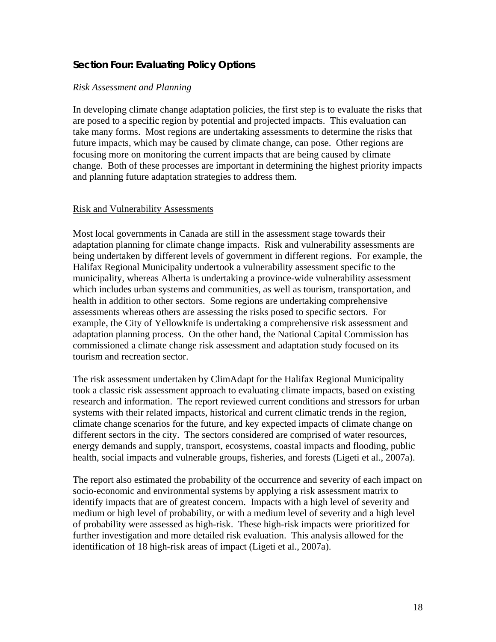# **Section Four: Evaluating Policy Options**

#### *Risk Assessment and Planning*

In developing climate change adaptation policies, the first step is to evaluate the risks that are posed to a specific region by potential and projected impacts. This evaluation can take many forms. Most regions are undertaking assessments to determine the risks that future impacts, which may be caused by climate change, can pose. Other regions are focusing more on monitoring the current impacts that are being caused by climate change. Both of these processes are important in determining the highest priority impacts and planning future adaptation strategies to address them.

#### Risk and Vulnerability Assessments

Most local governments in Canada are still in the assessment stage towards their adaptation planning for climate change impacts. Risk and vulnerability assessments are being undertaken by different levels of government in different regions. For example, the Halifax Regional Municipality undertook a vulnerability assessment specific to the municipality, whereas Alberta is undertaking a province-wide vulnerability assessment which includes urban systems and communities, as well as tourism, transportation, and health in addition to other sectors. Some regions are undertaking comprehensive assessments whereas others are assessing the risks posed to specific sectors. For example, the City of Yellowknife is undertaking a comprehensive risk assessment and adaptation planning process. On the other hand, the National Capital Commission has commissioned a climate change risk assessment and adaptation study focused on its tourism and recreation sector.

The risk assessment undertaken by ClimAdapt for the Halifax Regional Municipality took a classic risk assessment approach to evaluating climate impacts, based on existing research and information. The report reviewed current conditions and stressors for urban systems with their related impacts, historical and current climatic trends in the region, climate change scenarios for the future, and key expected impacts of climate change on different sectors in the city. The sectors considered are comprised of water resources, energy demands and supply, transport, ecosystems, coastal impacts and flooding, public health, social impacts and vulnerable groups, fisheries, and forests (Ligeti et al., 2007a).

The report also estimated the probability of the occurrence and severity of each impact on socio-economic and environmental systems by applying a risk assessment matrix to identify impacts that are of greatest concern. Impacts with a high level of severity and medium or high level of probability, or with a medium level of severity and a high level of probability were assessed as high-risk. These high-risk impacts were prioritized for further investigation and more detailed risk evaluation. This analysis allowed for the identification of 18 high-risk areas of impact (Ligeti et al., 2007a).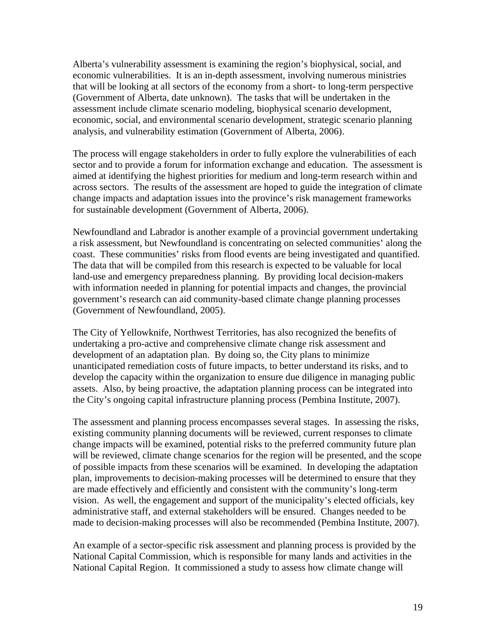Alberta's vulnerability assessment is examining the region's biophysical, social, and economic vulnerabilities. It is an in-depth assessment, involving numerous ministries that will be looking at all sectors of the economy from a short- to long-term perspective (Government of Alberta, date unknown). The tasks that will be undertaken in the assessment include climate scenario modeling, biophysical scenario development, economic, social, and environmental scenario development, strategic scenario planning analysis, and vulnerability estimation (Government of Alberta, 2006).

The process will engage stakeholders in order to fully explore the vulnerabilities of each sector and to provide a forum for information exchange and education. The assessment is aimed at identifying the highest priorities for medium and long-term research within and across sectors. The results of the assessment are hoped to guide the integration of climate change impacts and adaptation issues into the province's risk management frameworks for sustainable development (Government of Alberta, 2006).

Newfoundland and Labrador is another example of a provincial government undertaking a risk assessment, but Newfoundland is concentrating on selected communities' along the coast. These communities' risks from flood events are being investigated and quantified. The data that will be compiled from this research is expected to be valuable for local land-use and emergency preparedness planning. By providing local decision-makers with information needed in planning for potential impacts and changes, the provincial government's research can aid community-based climate change planning processes (Government of Newfoundland, 2005).

The City of Yellowknife, Northwest Territories, has also recognized the benefits of undertaking a pro-active and comprehensive climate change risk assessment and development of an adaptation plan. By doing so, the City plans to minimize unanticipated remediation costs of future impacts, to better understand its risks, and to develop the capacity within the organization to ensure due diligence in managing public assets. Also, by being proactive, the adaptation planning process can be integrated into the City's ongoing capital infrastructure planning process (Pembina Institute, 2007).

The assessment and planning process encompasses several stages. In assessing the risks, existing community planning documents will be reviewed, current responses to climate change impacts will be examined, potential risks to the preferred community future plan will be reviewed, climate change scenarios for the region will be presented, and the scope of possible impacts from these scenarios will be examined. In developing the adaptation plan, improvements to decision-making processes will be determined to ensure that they are made effectively and efficiently and consistent with the community's long-term vision. As well, the engagement and support of the municipality's elected officials, key administrative staff, and external stakeholders will be ensured. Changes needed to be made to decision-making processes will also be recommended (Pembina Institute, 2007).

An example of a sector-specific risk assessment and planning process is provided by the National Capital Commission, which is responsible for many lands and activities in the National Capital Region. It commissioned a study to assess how climate change will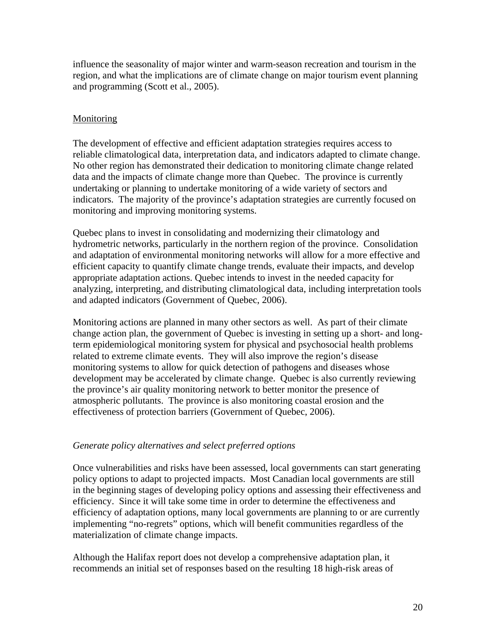influence the seasonality of major winter and warm-season recreation and tourism in the region, and what the implications are of climate change on major tourism event planning and programming (Scott et al., 2005).

## Monitoring

The development of effective and efficient adaptation strategies requires access to reliable climatological data, interpretation data, and indicators adapted to climate change. No other region has demonstrated their dedication to monitoring climate change related data and the impacts of climate change more than Quebec. The province is currently undertaking or planning to undertake monitoring of a wide variety of sectors and indicators. The majority of the province's adaptation strategies are currently focused on monitoring and improving monitoring systems.

Quebec plans to invest in consolidating and modernizing their climatology and hydrometric networks, particularly in the northern region of the province. Consolidation and adaptation of environmental monitoring networks will allow for a more effective and efficient capacity to quantify climate change trends, evaluate their impacts, and develop appropriate adaptation actions. Quebec intends to invest in the needed capacity for analyzing, interpreting, and distributing climatological data, including interpretation tools and adapted indicators (Government of Quebec, 2006).

Monitoring actions are planned in many other sectors as well. As part of their climate change action plan, the government of Quebec is investing in setting up a short- and longterm epidemiological monitoring system for physical and psychosocial health problems related to extreme climate events. They will also improve the region's disease monitoring systems to allow for quick detection of pathogens and diseases whose development may be accelerated by climate change. Quebec is also currently reviewing the province's air quality monitoring network to better monitor the presence of atmospheric pollutants. The province is also monitoring coastal erosion and the effectiveness of protection barriers (Government of Quebec, 2006).

### *Generate policy alternatives and select preferred options*

Once vulnerabilities and risks have been assessed, local governments can start generating policy options to adapt to projected impacts. Most Canadian local governments are still in the beginning stages of developing policy options and assessing their effectiveness and efficiency. Since it will take some time in order to determine the effectiveness and efficiency of adaptation options, many local governments are planning to or are currently implementing "no-regrets" options, which will benefit communities regardless of the materialization of climate change impacts.

Although the Halifax report does not develop a comprehensive adaptation plan, it recommends an initial set of responses based on the resulting 18 high-risk areas of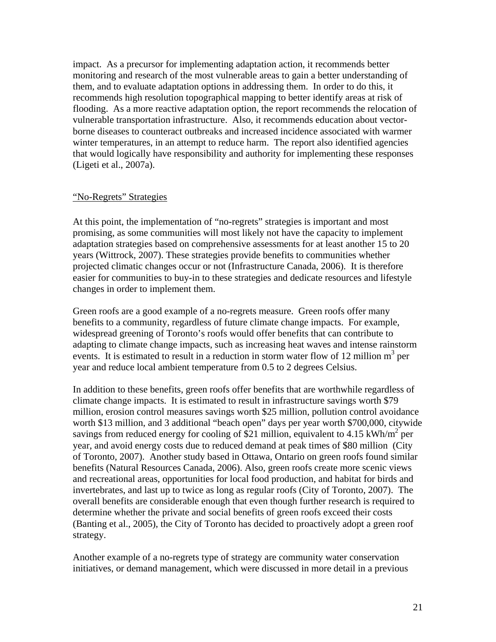impact. As a precursor for implementing adaptation action, it recommends better monitoring and research of the most vulnerable areas to gain a better understanding of them, and to evaluate adaptation options in addressing them. In order to do this, it recommends high resolution topographical mapping to better identify areas at risk of flooding. As a more reactive adaptation option, the report recommends the relocation of vulnerable transportation infrastructure. Also, it recommends education about vectorborne diseases to counteract outbreaks and increased incidence associated with warmer winter temperatures, in an attempt to reduce harm. The report also identified agencies that would logically have responsibility and authority for implementing these responses (Ligeti et al., 2007a).

#### "No-Regrets" Strategies

At this point, the implementation of "no-regrets" strategies is important and most promising, as some communities will most likely not have the capacity to implement adaptation strategies based on comprehensive assessments for at least another 15 to 20 years (Wittrock, 2007). These strategies provide benefits to communities whether projected climatic changes occur or not (Infrastructure Canada, 2006). It is therefore easier for communities to buy-in to these strategies and dedicate resources and lifestyle changes in order to implement them.

Green roofs are a good example of a no-regrets measure. Green roofs offer many benefits to a community, regardless of future climate change impacts. For example, widespread greening of Toronto's roofs would offer benefits that can contribute to adapting to climate change impacts, such as increasing heat waves and intense rainstorm events. It is estimated to result in a reduction in storm water flow of 12 million  $m<sup>3</sup>$  per year and reduce local ambient temperature from 0.5 to 2 degrees Celsius.

In addition to these benefits, green roofs offer benefits that are worthwhile regardless of climate change impacts. It is estimated to result in infrastructure savings worth \$79 million, erosion control measures savings worth \$25 million, pollution control avoidance worth \$13 million, and 3 additional "beach open" days per year worth \$700,000, citywide savings from reduced energy for cooling of \$21 million, equivalent to 4.15 kWh/m<sup>2</sup> per year, and avoid energy costs due to reduced demand at peak times of \$80 million (City of Toronto, 2007). Another study based in Ottawa, Ontario on green roofs found similar benefits (Natural Resources Canada, 2006). Also, green roofs create more scenic views and recreational areas, opportunities for local food production, and habitat for birds and invertebrates, and last up to twice as long as regular roofs (City of Toronto, 2007). The overall benefits are considerable enough that even though further research is required to determine whether the private and social benefits of green roofs exceed their costs (Banting et al., 2005), the City of Toronto has decided to proactively adopt a green roof strategy.

Another example of a no-regrets type of strategy are community water conservation initiatives, or demand management, which were discussed in more detail in a previous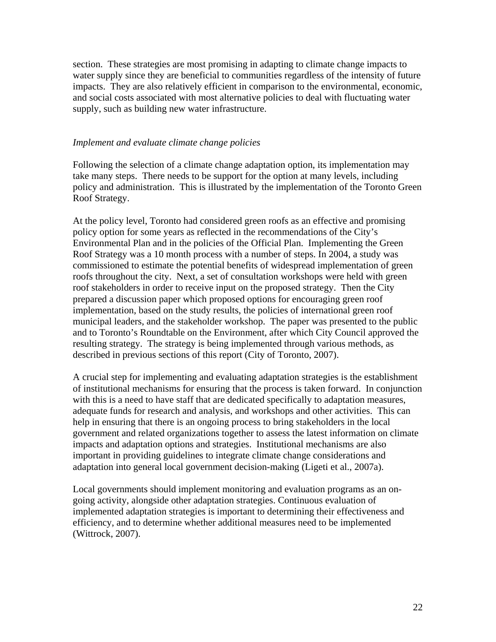section. These strategies are most promising in adapting to climate change impacts to water supply since they are beneficial to communities regardless of the intensity of future impacts. They are also relatively efficient in comparison to the environmental, economic, and social costs associated with most alternative policies to deal with fluctuating water supply, such as building new water infrastructure.

#### *Implement and evaluate climate change policies*

Following the selection of a climate change adaptation option, its implementation may take many steps. There needs to be support for the option at many levels, including policy and administration. This is illustrated by the implementation of the Toronto Green Roof Strategy.

At the policy level, Toronto had considered green roofs as an effective and promising policy option for some years as reflected in the recommendations of the City's Environmental Plan and in the policies of the Official Plan. Implementing the Green Roof Strategy was a 10 month process with a number of steps. In 2004, a study was commissioned to estimate the potential benefits of widespread implementation of green roofs throughout the city. Next, a set of consultation workshops were held with green roof stakeholders in order to receive input on the proposed strategy. Then the City prepared a discussion paper which proposed options for encouraging green roof implementation, based on the study results, the policies of international green roof municipal leaders, and the stakeholder workshop. The paper was presented to the public and to Toronto's Roundtable on the Environment, after which City Council approved the resulting strategy. The strategy is being implemented through various methods, as described in previous sections of this report (City of Toronto, 2007).

A crucial step for implementing and evaluating adaptation strategies is the establishment of institutional mechanisms for ensuring that the process is taken forward. In conjunction with this is a need to have staff that are dedicated specifically to adaptation measures, adequate funds for research and analysis, and workshops and other activities. This can help in ensuring that there is an ongoing process to bring stakeholders in the local government and related organizations together to assess the latest information on climate impacts and adaptation options and strategies. Institutional mechanisms are also important in providing guidelines to integrate climate change considerations and adaptation into general local government decision-making (Ligeti et al., 2007a).

Local governments should implement monitoring and evaluation programs as an ongoing activity, alongside other adaptation strategies. Continuous evaluation of implemented adaptation strategies is important to determining their effectiveness and efficiency, and to determine whether additional measures need to be implemented (Wittrock, 2007).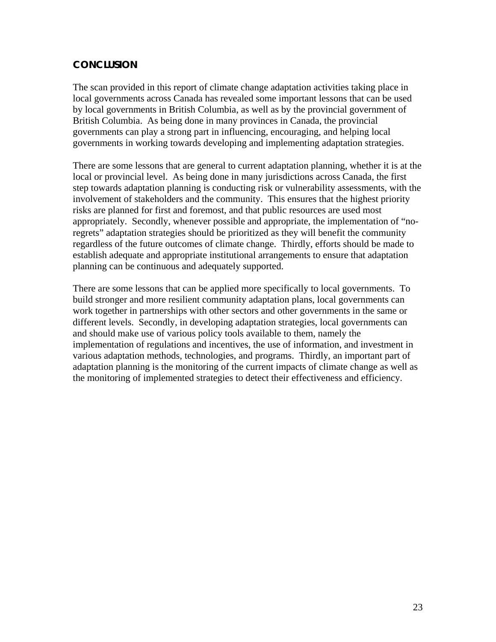# **CONCLUSION**

The scan provided in this report of climate change adaptation activities taking place in local governments across Canada has revealed some important lessons that can be used by local governments in British Columbia, as well as by the provincial government of British Columbia. As being done in many provinces in Canada, the provincial governments can play a strong part in influencing, encouraging, and helping local governments in working towards developing and implementing adaptation strategies.

There are some lessons that are general to current adaptation planning, whether it is at the local or provincial level. As being done in many jurisdictions across Canada, the first step towards adaptation planning is conducting risk or vulnerability assessments, with the involvement of stakeholders and the community. This ensures that the highest priority risks are planned for first and foremost, and that public resources are used most appropriately. Secondly, whenever possible and appropriate, the implementation of "noregrets" adaptation strategies should be prioritized as they will benefit the community regardless of the future outcomes of climate change. Thirdly, efforts should be made to establish adequate and appropriate institutional arrangements to ensure that adaptation planning can be continuous and adequately supported.

There are some lessons that can be applied more specifically to local governments. To build stronger and more resilient community adaptation plans, local governments can work together in partnerships with other sectors and other governments in the same or different levels. Secondly, in developing adaptation strategies, local governments can and should make use of various policy tools available to them, namely the implementation of regulations and incentives, the use of information, and investment in various adaptation methods, technologies, and programs. Thirdly, an important part of adaptation planning is the monitoring of the current impacts of climate change as well as the monitoring of implemented strategies to detect their effectiveness and efficiency.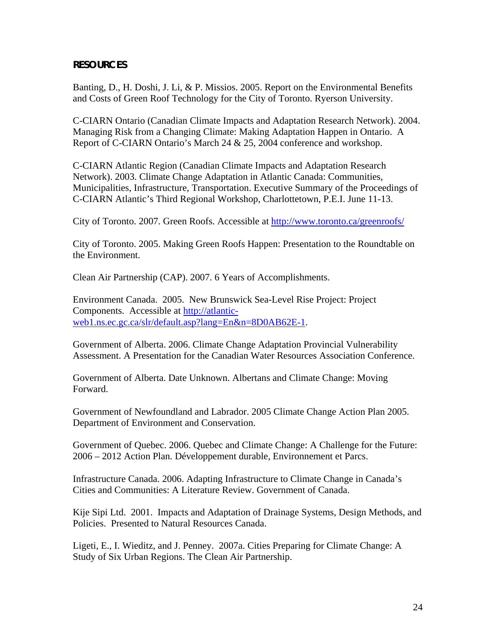## **RESOURCES**

Banting, D., H. Doshi, J. Li, & P. Missios. 2005. Report on the Environmental Benefits and Costs of Green Roof Technology for the City of Toronto. Ryerson University.

C-CIARN Ontario (Canadian Climate Impacts and Adaptation Research Network). 2004. Managing Risk from a Changing Climate: Making Adaptation Happen in Ontario. A Report of C-CIARN Ontario's March 24 & 25, 2004 conference and workshop.

C-CIARN Atlantic Region (Canadian Climate Impacts and Adaptation Research Network). 2003. Climate Change Adaptation in Atlantic Canada: Communities, Municipalities, Infrastructure, Transportation. Executive Summary of the Proceedings of C-CIARN Atlantic's Third Regional Workshop, Charlottetown, P.E.I. June 11-13.

City of Toronto. 2007. Green Roofs. Accessible at http://www.toronto.ca/greenroofs/

City of Toronto. 2005. Making Green Roofs Happen: Presentation to the Roundtable on the Environment.

Clean Air Partnership (CAP). 2007. 6 Years of Accomplishments.

Environment Canada. 2005. New Brunswick Sea-Level Rise Project: Project Components. Accessible at http://atlanticweb1.ns.ec.gc.ca/slr/default.asp?lang=En&n=8D0AB62E-1.

Government of Alberta. 2006. Climate Change Adaptation Provincial Vulnerability Assessment. A Presentation for the Canadian Water Resources Association Conference.

Government of Alberta. Date Unknown. Albertans and Climate Change: Moving Forward.

Government of Newfoundland and Labrador. 2005 Climate Change Action Plan 2005. Department of Environment and Conservation.

Government of Quebec. 2006. Quebec and Climate Change: A Challenge for the Future: 2006 – 2012 Action Plan. Développement durable, Environnement et Parcs.

Infrastructure Canada. 2006. Adapting Infrastructure to Climate Change in Canada's Cities and Communities: A Literature Review. Government of Canada.

Kije Sipi Ltd. 2001. Impacts and Adaptation of Drainage Systems, Design Methods, and Policies. Presented to Natural Resources Canada.

Ligeti, E., I. Wieditz, and J. Penney. 2007a. Cities Preparing for Climate Change: A Study of Six Urban Regions. The Clean Air Partnership.